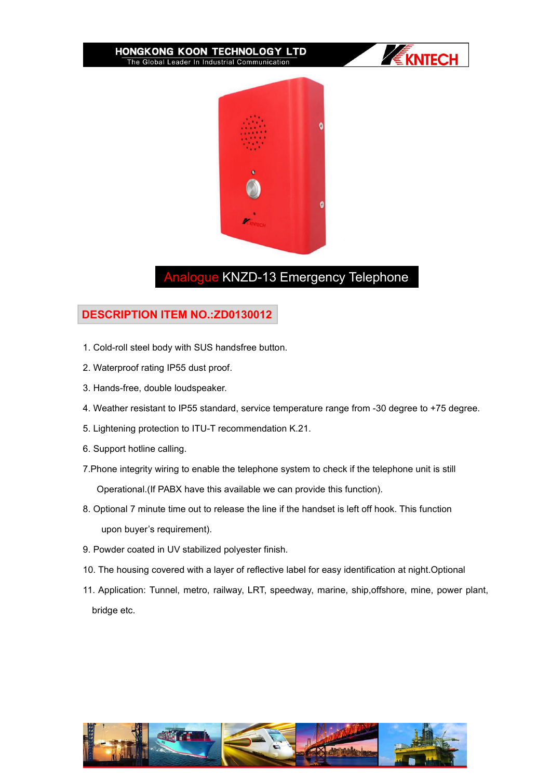#### HONGKONG KOON TECHNOLOGY LTD The Global Leader In Industrial Communication





# Analogue KNZD-13 Emergency Telephone

## **DESCRIPTION ITEM NO.:ZD0130012**

- 1. Cold-roll steel body with SUS handsfree button.
- 2. Waterproof rating IP55 dust proof.
- 3. Hands-free, double loudspeaker.
- 4. Weather resistant to IP55 standard, service temperature range from -30 degree to +75 degree.
- 5. Lightening protection to ITU-T recommendation K.21.
- 6. Support hotline calling.
- 7.Phone integrity wiring to enable the telephone system to check if the telephone unit is still Operational.(If PABX have this available we can provide this function).
- 8. Optional 7 minute time out to release the line if the handset is left off hook. This function upon buyer's requirement).
- 9. Powder coated in UV stabilized polyester finish.
- 10. The housing covered with a layer of reflective label for easy identification at night.Optional
- 11. Application: Tunnel, metro, railway, LRT, speedway, marine, ship,offshore, mine, power plant, bridge etc.